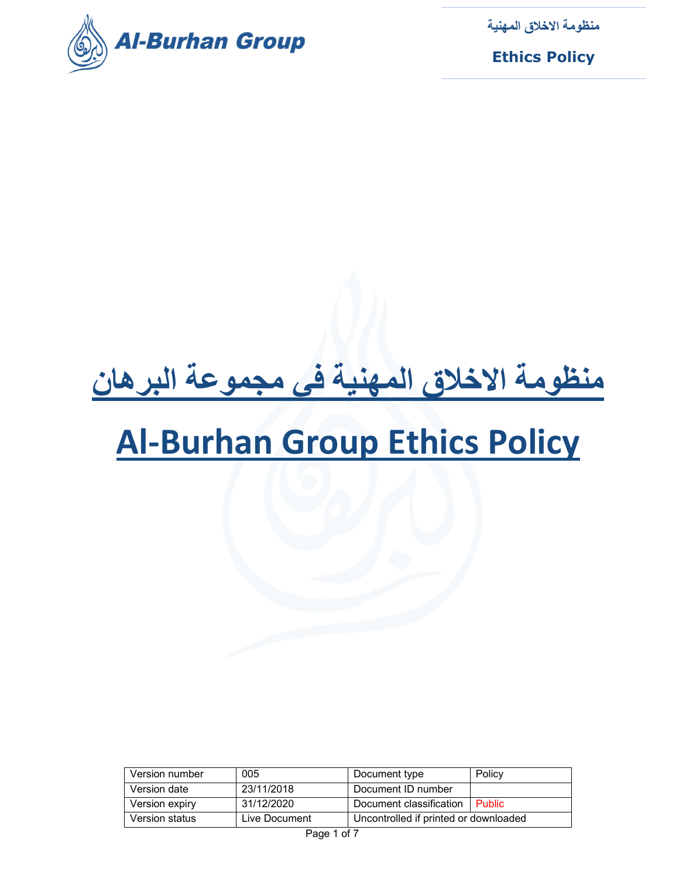

**Ethics Policy**

# **منظومة الاخلاق المهنية في مجموعة البرهان**

## **Al‐Burhan Group Ethics Policy**

| Version number | 005           | Document type                         | Policy        |
|----------------|---------------|---------------------------------------|---------------|
| Version date   | 23/11/2018    | Document ID number                    |               |
| Version expiry | 31/12/2020    | Document classification               | <b>Public</b> |
| Version status | Live Document | Uncontrolled if printed or downloaded |               |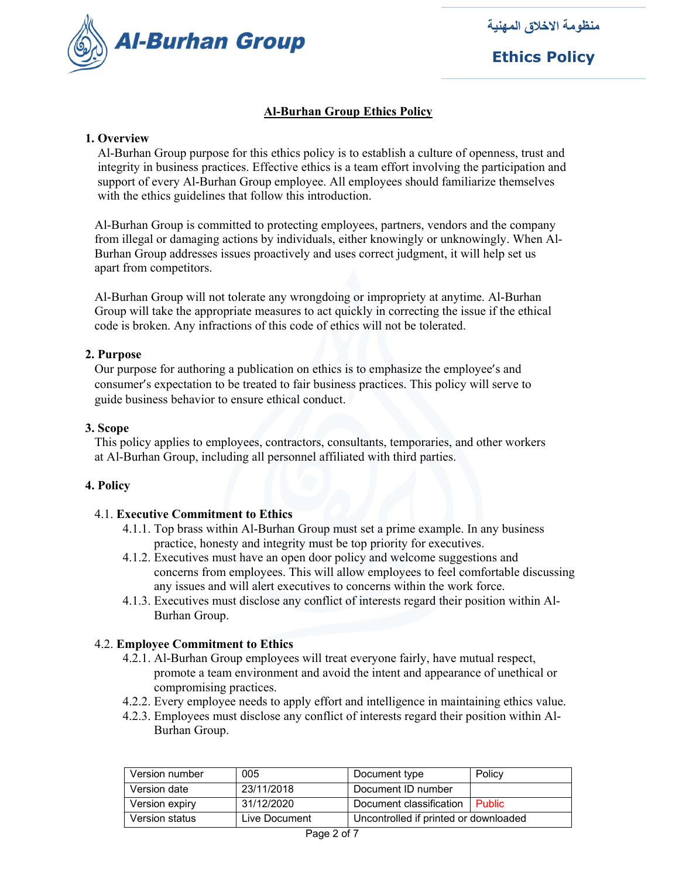

**Ethics Policy**

#### **Al-Burhan Group Ethics Policy**

#### **1. Overview**

 Al-Burhan Group purpose for this ethics policy is to establish a culture of openness, trust and integrity in business practices. Effective ethics is a team effort involving the participation and support of every Al-Burhan Group employee. All employees should familiarize themselves with the ethics guidelines that follow this introduction.

 Al-Burhan Group is committed to protecting employees, partners, vendors and the company from illegal or damaging actions by individuals, either knowingly or unknowingly. When Al- Burhan Group addresses issues proactively and uses correct judgment, it will help set us apart from competitors.

 Al-Burhan Group will not tolerate any wrongdoing or impropriety at anytime. Al-Burhan Group will take the appropriate measures to act quickly in correcting the issue if the ethical code is broken. Any infractions of this code of ethics will not be tolerated.

#### **2. Purpose**

 Our purpose for authoring a publication on ethics is to emphasize the employee's and consumer's expectation to be treated to fair business practices. This policy will serve to guide business behavior to ensure ethical conduct.

#### **3. Scope**

 This policy applies to employees, contractors, consultants, temporaries, and other workers at Al-Burhan Group, including all personnel affiliated with third parties.

#### **4. Policy**

#### 4.1. **Executive Commitment to Ethics**

- 4.1.1. Top brass within Al-Burhan Group must set a prime example. In any business practice, honesty and integrity must be top priority for executives.
- 4.1.2. Executives must have an open door policy and welcome suggestions and concerns from employees. This will allow employees to feel comfortable discussing any issues and will alert executives to concerns within the work force.
- 4.1.3. Executives must disclose any conflict of interests regard their position within Al- Burhan Group.

#### 4.2. **Employee Commitment to Ethics**

- 4.2.1. Al-Burhan Group employees will treat everyone fairly, have mutual respect, promote a team environment and avoid the intent and appearance of unethical or compromising practices.
- 4.2.2. Every employee needs to apply effort and intelligence in maintaining ethics value.
- 4.2.3. Employees must disclose any conflict of interests regard their position within Al- Burhan Group.

| Version number | 005           | Document type                         | Policy        |
|----------------|---------------|---------------------------------------|---------------|
| Version date   | 23/11/2018    | Document ID number                    |               |
| Version expiry | 31/12/2020    | Document classification               | <b>Public</b> |
| Version status | Live Document | Uncontrolled if printed or downloaded |               |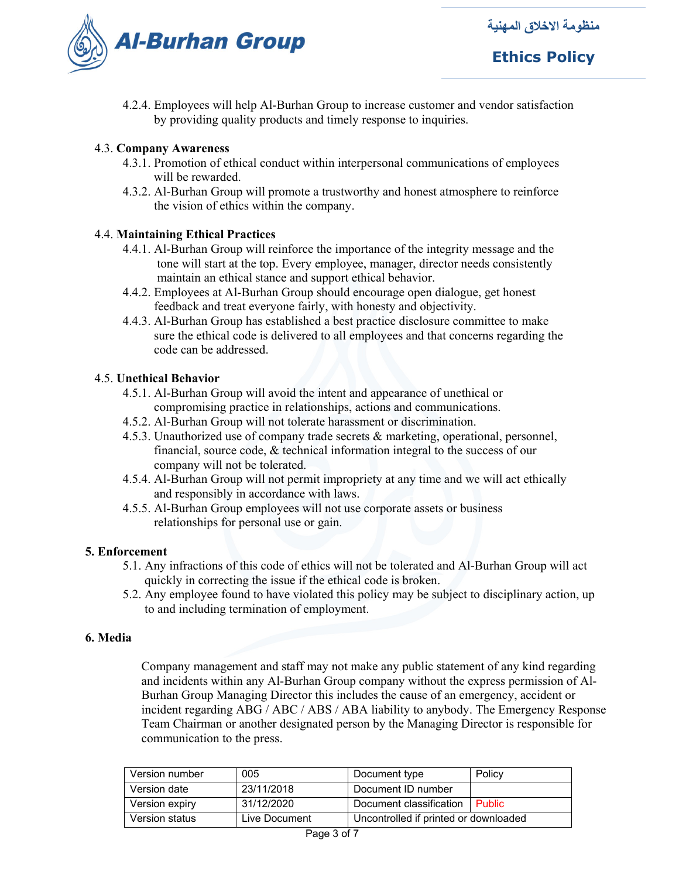

## **Ethics Policy**

4.2.4. Employees will help Al-Burhan Group to increase customer and vendor satisfaction by providing quality products and timely response to inquiries.

#### 4.3. **Company Awareness**

- 4.3.1. Promotion of ethical conduct within interpersonal communications of employees will be rewarded.
- 4.3.2. Al-Burhan Group will promote a trustworthy and honest atmosphere to reinforce the vision of ethics within the company.

#### 4.4. **Maintaining Ethical Practices**

- 4.4.1. Al-Burhan Group will reinforce the importance of the integrity message and the tone will start at the top. Every employee, manager, director needs consistently maintain an ethical stance and support ethical behavior.
- 4.4.2. Employees at Al-Burhan Group should encourage open dialogue, get honest feedback and treat everyone fairly, with honesty and objectivity.
- 4.4.3. Al-Burhan Group has established a best practice disclosure committee to make sure the ethical code is delivered to all employees and that concerns regarding the code can be addressed.

#### 4.5. **Unethical Behavior**

- 4.5.1. Al-Burhan Group will avoid the intent and appearance of unethical or compromising practice in relationships, actions and communications.
- 4.5.2. Al-Burhan Group will not tolerate harassment or discrimination.
- 4.5.3. Unauthorized use of company trade secrets & marketing, operational, personnel, financial, source code, & technical information integral to the success of our company will not be tolerated.
- 4.5.4. Al-Burhan Group will not permit impropriety at any time and we will act ethically and responsibly in accordance with laws.
- 4.5.5. Al-Burhan Group employees will not use corporate assets or business relationships for personal use or gain.

#### **5. Enforcement**

- 5.1. Any infractions of this code of ethics will not be tolerated and Al-Burhan Group will act quickly in correcting the issue if the ethical code is broken.
- 5.2. Any employee found to have violated this policy may be subject to disciplinary action, up to and including termination of employment.

#### **6. Media**

Company management and staff may not make any public statement of any kind regarding and incidents within any Al-Burhan Group company without the express permission of Al-Burhan Group Managing Director this includes the cause of an emergency, accident or incident regarding ABG / ABC / ABS / ABA liability to anybody. The Emergency Response Team Chairman or another designated person by the Managing Director is responsible for communication to the press.

| Version number | 005           | Document type                         | Policy        |
|----------------|---------------|---------------------------------------|---------------|
| Version date   | 23/11/2018    | Document ID number                    |               |
| Version expiry | 31/12/2020    | Document classification               | <b>Public</b> |
| Version status | Live Document | Uncontrolled if printed or downloaded |               |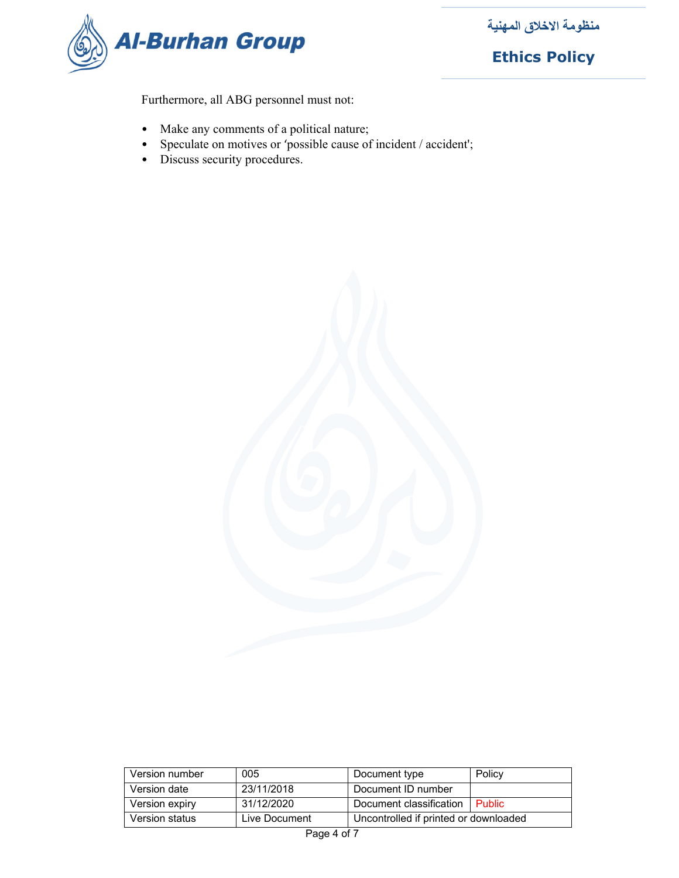

**Ethics Policy**

Furthermore, all ABG personnel must not:

- Make any comments of a political nature;
- Speculate on motives or 'possible cause of incident / accident';
- Discuss security procedures.



| Version number | 005           | Document type                         | Policy        |
|----------------|---------------|---------------------------------------|---------------|
| Version date   | 23/11/2018    | Document ID number                    |               |
| Version expiry | 31/12/2020    | Document classification               | <b>Public</b> |
| Version status | Live Document | Uncontrolled if printed or downloaded |               |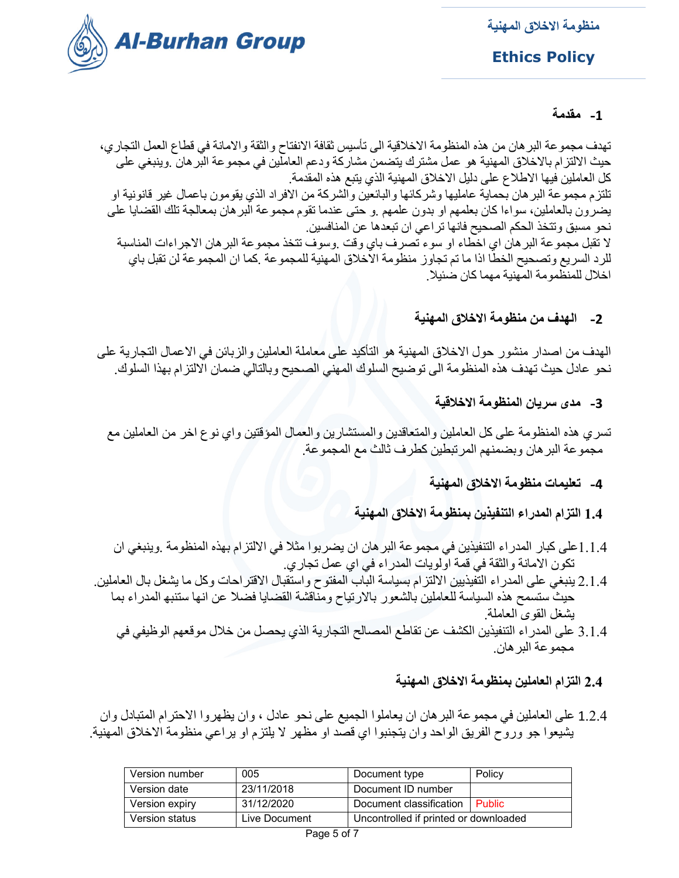

**Ethics Policy**

## **-1 مقدمة**

تهدف مجموعة البرهان من هذه المنظومة الاخلاقية الى تأسيس ثقافة الانفتاح والثقة والامانة في قطاع العمل التجاري، حيث الالتزام بالاخلاق المهنية هو عمل مشترك يتضمن مشاركة ودعم العاملين في مجموعة البرهان .وينبغي على كل العاملين فيها الاطلاع على دليل الاخلاق المهنية الذي يتبع هذه المقدمة. تلتزم مجموعة البرهان بحماية عامليها وشركائها والبائعين والشركة من الافراد الذي يقومون باعمال غير قانونية او يضرون بالعاملين، سواءا كان بعلمهم او بدون علمهم .و حتى عندما تقوم مجموعة البرهان بمعالجة تلك القضايا على نحو مسبق وتتخذ الحكم الصحيح فانها تراعي ان تبعدها عن المنافسين. لا تقبل مجموعة البرهان اي اخطاء او سوء تصرف باي وقت .وسوف تتخذ مجموعة البرهان الاجراءات المناسبة للرد السريع وتصحيح الخطا اذا ما تم تجاوز منظومة الاخلاق المهنية للمجموعة .كما ان المجموعة لن تقبل باي اخلال للمنظمومة المهنية مهما كان ضئيلا.

**-2 الهدف من منظومة الاخلاق المهنية** 

الهدف من اصدار منشور حول الاخلاق المهنية هو التأكيد على معاملة العاملين والزبائن في الاعمال التجارية على نحو عادل حيث تهدف هذه المنظومة الى توضيح السلوك المهني الصحيح وبالتالي ضمان الالتزام بهذا السلوك.

**-3 مدى سريان المنظومة الاخلاقية**

تسري هذه المنظومة على كل العاملين والمتعاقدين والمستشارين والعمال المؤقتين واي نوع اخر من العاملين مع مجموعة البرهان وبضمنهم المرتبطين كطرف ثالث مع المجموعة.

**-4 تعليمات منظومة الاخلاق المهنية**

**1.4 التزام المدراء التنفيذين بمنظومة الاخلاق المهنية** 

- 1.1.4على كبار المدراء التنفيذين في مجموعة البرهان ان يضربوا مثلا في الالتزام بهذه المنظومة .وينبغي ان تكون الامانة والثقة في قمة اولويات المدراء في اي عمل تجاري.
- 2.1.4 ينبغي على المدراء التفيذيين الالتزام بسياسة الباب المفتوح واستقبال الاقتراحات وكل ما يشغل بال العاملين. حيث ستسمح هذه السياسة للعاملين بالشعور بالارتياح ومناقشة القضايا فضلا عن انها ستنبه المدراء بما يشغل القوى العاملة.
	- 3.1.4 على المدراء التنفيذين الكشف عن تقاطع المصالح التجارية الذي يحصل من خلال موقعهم الوظيفي في مجموعة البرهان.

## **2.4 التزام العاملين بمنظومة الاخلاق المهنية**

 1.2.4 على العاملين في مجموعة البرهان ان يعاملوا الجميع على نحو عادل ، وان يظهروا الاحترام المتبادل وان يشيعوا جو وروح الفريق الواحد وان يتجنبوا اي قصد او مظهر لا يلتزم او يراعي منظومة الاخلاق المهنية.

| Version number | 005           | Document type                         | Policy |
|----------------|---------------|---------------------------------------|--------|
| Version date   | 23/11/2018    | Document ID number                    |        |
| Version expiry | 31/12/2020    | Document classification   Public      |        |
| Version status | Live Document | Uncontrolled if printed or downloaded |        |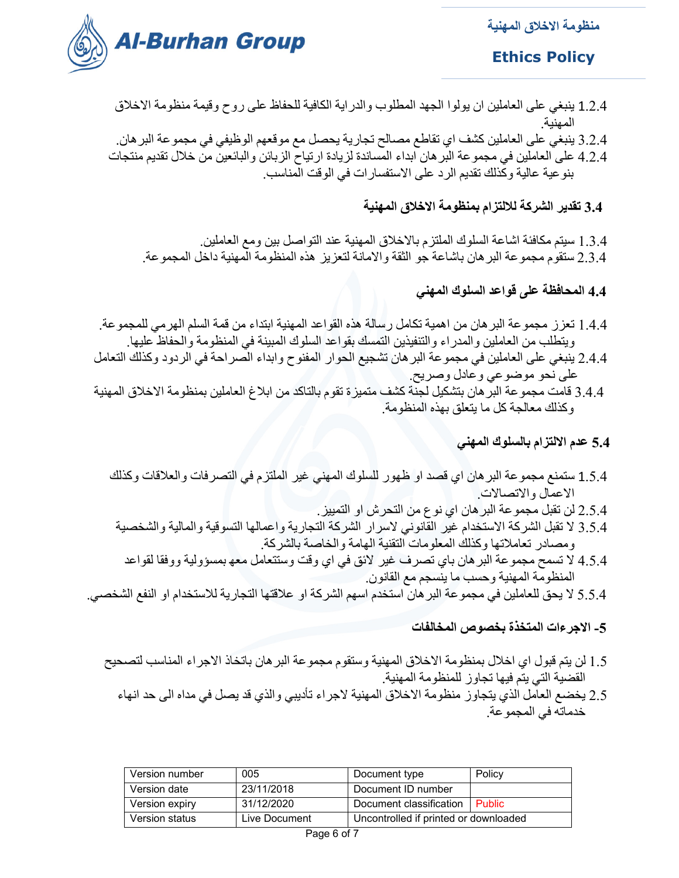

## **Ethics Policy**

- 1.2.4 ينبغي على العاملين ان يولوا الجهد المطلوب والدراية الكافية للحفاظ على روح وقيمة منظومة الاخلاق المهنية.
- 3.2.4 ينبغي على العاملين كشف اي تقاطع مصالح تجارية يحصل مع موقعهم الوظيفي في مجموعة البرهان.
- 4.2.4 على العاملين في مجموعة البرهان ابداء المساندة لزيادة ارتياح الزبائن والبائعين من خلال تقديم منتجات بنوعية عالية وكذلك تقديم الرد على الاستفسارات في الوقت المناسب.

## **3.4 تقدير الشركة للالتزام بمنظومة الاخلاق المهنية**

 1.3.4 سيتم مكافئة اشاعة السلوك الملتزم بالاخلاق المهنية عند التواصل بين ومع العاملين. 2.3.4 ستقوم مجموعة البرهان باشاعة جو الثقة والامانة لتعزيز هذه المنظومة المهنية داخل المجموعة.

 **4.4 المحافظة على قواعد السلوك المهني**

- 1.4.4 تعزز مجموعة البرهان من اهمية تكامل رسالة هذه القواعد المهنية ابتداء من قمة السلم الهرمي للمجموعة. ويتطلب من العاملين والمدراء والتنفيذين التمسك بقواعد السلوك المبينة في المنظومة والحفاظ عليها.
- 2.4.4 ينبغي على العاملين في مجموعة البرهان تشجيع الحوار المفنوح وابداء الصراحة في الردود وكذلك التعامل على نحو موضوعي وعادل وصريح.
- 3.4.4 قامت مجموعة البرهان بتشكيل لجنة كشف متميزة تقوم بالتاكد من ابلاغ العاملين بمنظومة الاخلاق المهنية وكذلك معالجة كل ما يتعلق بهذه المنظومة.
	- **5.4 عدم الالتزام بالسلوك المهني**
	- 1.5.4ستمنع مجموعة البرهان اي قصد او ظهور للسلوك المهني غير الملتزم في التصرفات والعلاقات وكذلك الاعمال والاتصالات.
		- 2.5.4 لن تقبل مجموعة البرهان اي نوع من التحرش او التمييز.
	- 3.5.4 لا تقبل الشركة الاستخدام غير القانوني لاسرار الشركة التجارية واعمالها التسوقية والمالية والشخصية ومصادر تعاملاتها وكذلك المعلومات التقنية الهامة والخاصة بالشركة.
		- 4.5.4 لا تسمح مجموعة البرهان باي تصرف غير لائق في اي وقت وستتعامل معه بمسؤولية ووفقا لقواعد المنظومة المهنية وحسب ما ينسجم مع القانون.
- 5.5.4 لا يحق للعاملين في مجموعة البرهان استخدم اسهم الشركة او علاقتها التجارية للاستخدام او النفع الشخصي.
	- **-5 الاجرءات المتخذة بخصوص المخالفات**
	- 1.5 لن يتم قبول اي اخلال بمنظومة الاخلاق المهنية وستقوم مجموعة البرهان باتخاذ الاجراء المناسب لتصحيح القضية التي يتم فيها تجاوز للمنظومة المهنية.
		- 2.5 يخضع العامل الذي يتجاوز منظومة الاخلاق المهنية لاجراء تأديبي والذي قد يصل في مداه الى حد انهاء خدماته في المجموعة.

| Version number | 005           | Document type                         | Policy |
|----------------|---------------|---------------------------------------|--------|
| Version date   | 23/11/2018    | Document ID number                    |        |
| Version expiry | 31/12/2020    | Document classification   Public      |        |
| Version status | Live Document | Uncontrolled if printed or downloaded |        |